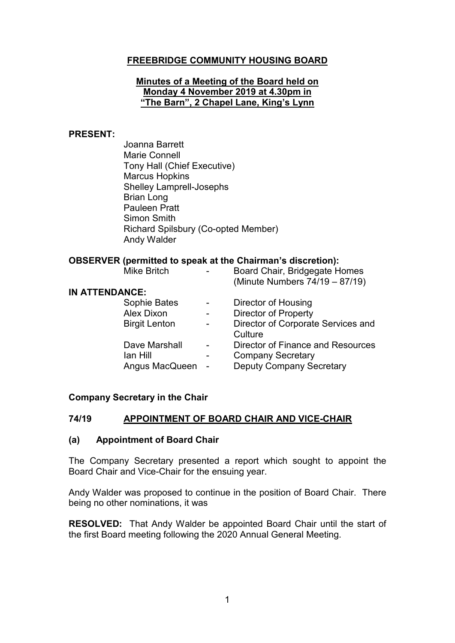# **FREEBRIDGE COMMUNITY HOUSING BOARD**

### **Minutes of a Meeting of the Board held on Monday 4 November 2019 at 4.30pm in "The Barn", 2 Chapel Lane, King's Lynn**

#### **PRESENT:**

Joanna Barrett Marie Connell Tony Hall (Chief Executive) Marcus Hopkins Shelley Lamprell-Josephs Brian Long Pauleen Pratt Simon Smith Richard Spilsbury (Co-opted Member) Andy Walder

### **OBSERVER (permitted to speak at the Chairman's discretion):**

| <b>Mike Britch</b>    | Board Chair, Bridgegate Homes<br>(Minute Numbers 74/19 - 87/19) |
|-----------------------|-----------------------------------------------------------------|
| <b>IN ATTENDANCE:</b> |                                                                 |
| Sophie Bates          | Director of Housing                                             |
| <b>Alex Dixon</b>     | <b>Director of Property</b>                                     |
| <b>Birgit Lenton</b>  | Director of Corporate Services and<br>Culture                   |
| Dave Marshall         | Director of Finance and Resources                               |
| lan Hill              | <b>Company Secretary</b>                                        |
| Angus MacQueen        | <b>Deputy Company Secretary</b>                                 |
|                       |                                                                 |

### **Company Secretary in the Chair**

### **74/19 APPOINTMENT OF BOARD CHAIR AND VICE-CHAIR**

#### **(a) Appointment of Board Chair**

The Company Secretary presented a report which sought to appoint the Board Chair and Vice-Chair for the ensuing year.

Andy Walder was proposed to continue in the position of Board Chair. There being no other nominations, it was

**RESOLVED:** That Andy Walder be appointed Board Chair until the start of the first Board meeting following the 2020 Annual General Meeting.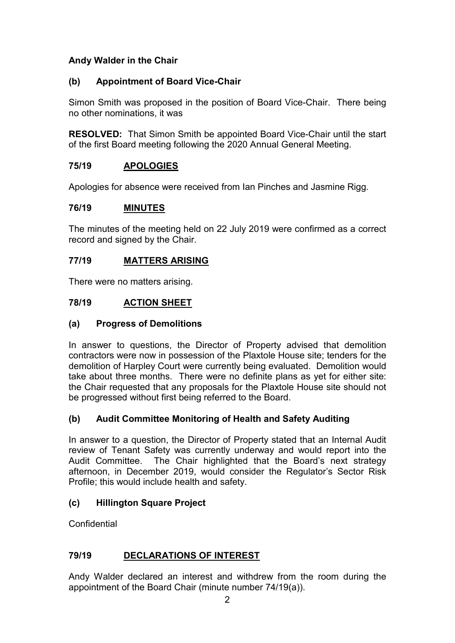# **Andy Walder in the Chair**

# **(b) Appointment of Board Vice-Chair**

Simon Smith was proposed in the position of Board Vice-Chair. There being no other nominations, it was

**RESOLVED:** That Simon Smith be appointed Board Vice-Chair until the start of the first Board meeting following the 2020 Annual General Meeting.

# **75/19 APOLOGIES**

Apologies for absence were received from Ian Pinches and Jasmine Rigg.

### **76/19 MINUTES**

The minutes of the meeting held on 22 July 2019 were confirmed as a correct record and signed by the Chair.

## **77/19 MATTERS ARISING**

There were no matters arising.

## **78/19 ACTION SHEET**

## **(a) Progress of Demolitions**

In answer to questions, the Director of Property advised that demolition contractors were now in possession of the Plaxtole House site; tenders for the demolition of Harpley Court were currently being evaluated. Demolition would take about three months. There were no definite plans as yet for either site: the Chair requested that any proposals for the Plaxtole House site should not be progressed without first being referred to the Board.

## **(b) Audit Committee Monitoring of Health and Safety Auditing**

In answer to a question, the Director of Property stated that an Internal Audit review of Tenant Safety was currently underway and would report into the Audit Committee. The Chair highlighted that the Board's next strategy afternoon, in December 2019, would consider the Regulator's Sector Risk Profile; this would include health and safety.

## **(c) Hillington Square Project**

**Confidential** 

## **79/19 DECLARATIONS OF INTEREST**

Andy Walder declared an interest and withdrew from the room during the appointment of the Board Chair (minute number 74/19(a)).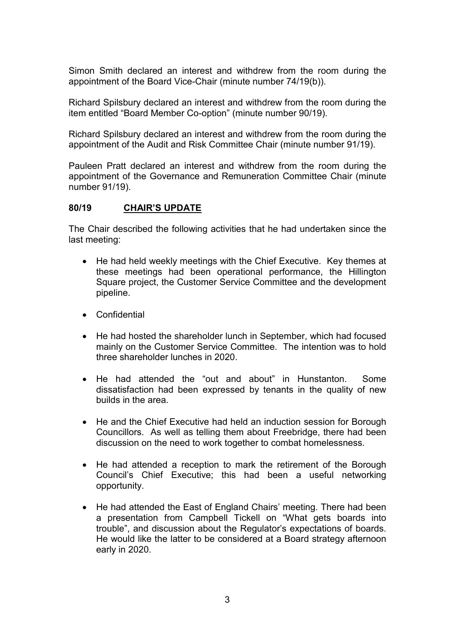Simon Smith declared an interest and withdrew from the room during the appointment of the Board Vice-Chair (minute number 74/19(b)).

Richard Spilsbury declared an interest and withdrew from the room during the item entitled "Board Member Co-option" (minute number 90/19).

Richard Spilsbury declared an interest and withdrew from the room during the appointment of the Audit and Risk Committee Chair (minute number 91/19).

Pauleen Pratt declared an interest and withdrew from the room during the appointment of the Governance and Remuneration Committee Chair (minute number 91/19).

#### **80/19 CHAIR'S UPDATE**

The Chair described the following activities that he had undertaken since the last meeting:

- He had held weekly meetings with the Chief Executive. Key themes at these meetings had been operational performance, the Hillington Square project, the Customer Service Committee and the development pipeline.
- Confidential
- He had hosted the shareholder lunch in September, which had focused mainly on the Customer Service Committee. The intention was to hold three shareholder lunches in 2020.
- He had attended the "out and about" in Hunstanton. Some dissatisfaction had been expressed by tenants in the quality of new builds in the area.
- He and the Chief Executive had held an induction session for Borough Councillors. As well as telling them about Freebridge, there had been discussion on the need to work together to combat homelessness.
- He had attended a reception to mark the retirement of the Borough Council's Chief Executive; this had been a useful networking opportunity.
- He had attended the East of England Chairs' meeting. There had been a presentation from Campbell Tickell on "What gets boards into trouble", and discussion about the Regulator's expectations of boards. He would like the latter to be considered at a Board strategy afternoon early in 2020.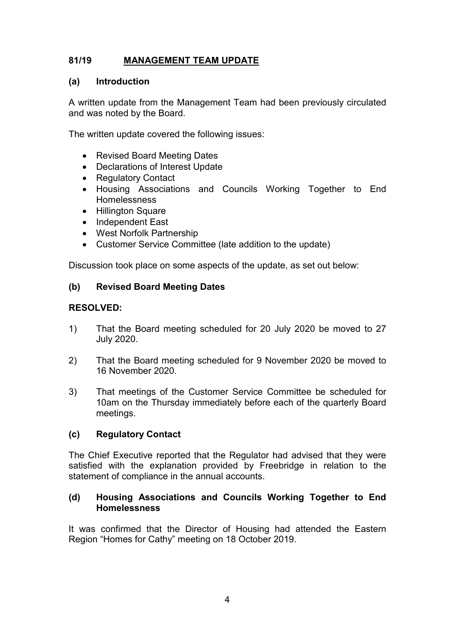# **81/19 MANAGEMENT TEAM UPDATE**

### **(a) Introduction**

A written update from the Management Team had been previously circulated and was noted by the Board.

The written update covered the following issues:

- Revised Board Meeting Dates
- Declarations of Interest Update
- Regulatory Contact
- Housing Associations and Councils Working Together to End **Homelessness**
- Hillington Square
- Independent East
- West Norfolk Partnership
- Customer Service Committee (late addition to the update)

Discussion took place on some aspects of the update, as set out below:

### **(b) Revised Board Meeting Dates**

### **RESOLVED:**

- 1) That the Board meeting scheduled for 20 July 2020 be moved to 27 July 2020.
- 2) That the Board meeting scheduled for 9 November 2020 be moved to 16 November 2020.
- 3) That meetings of the Customer Service Committee be scheduled for 10am on the Thursday immediately before each of the quarterly Board meetings.

## **(c) Regulatory Contact**

The Chief Executive reported that the Regulator had advised that they were satisfied with the explanation provided by Freebridge in relation to the statement of compliance in the annual accounts.

### **(d) Housing Associations and Councils Working Together to End Homelessness**

It was confirmed that the Director of Housing had attended the Eastern Region "Homes for Cathy" meeting on 18 October 2019.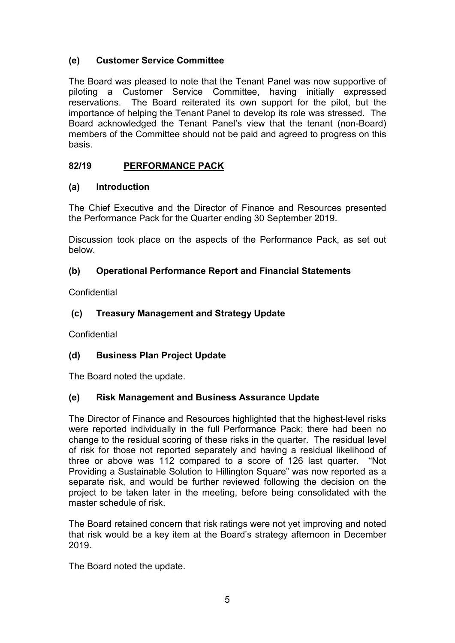# **(e) Customer Service Committee**

The Board was pleased to note that the Tenant Panel was now supportive of piloting a Customer Service Committee, having initially expressed reservations. The Board reiterated its own support for the pilot, but the importance of helping the Tenant Panel to develop its role was stressed. The Board acknowledged the Tenant Panel's view that the tenant (non-Board) members of the Committee should not be paid and agreed to progress on this basis.

# **82/19 PERFORMANCE PACK**

## **(a) Introduction**

The Chief Executive and the Director of Finance and Resources presented the Performance Pack for the Quarter ending 30 September 2019.

Discussion took place on the aspects of the Performance Pack, as set out below.

# **(b) Operational Performance Report and Financial Statements**

**Confidential** 

# **(c) Treasury Management and Strategy Update**

Confidential

# **(d) Business Plan Project Update**

The Board noted the update.

## **(e) Risk Management and Business Assurance Update**

The Director of Finance and Resources highlighted that the highest-level risks were reported individually in the full Performance Pack; there had been no change to the residual scoring of these risks in the quarter. The residual level of risk for those not reported separately and having a residual likelihood of three or above was 112 compared to a score of 126 last quarter. "Not Providing a Sustainable Solution to Hillington Square" was now reported as a separate risk, and would be further reviewed following the decision on the project to be taken later in the meeting, before being consolidated with the master schedule of risk.

The Board retained concern that risk ratings were not yet improving and noted that risk would be a key item at the Board's strategy afternoon in December 2019.

The Board noted the update.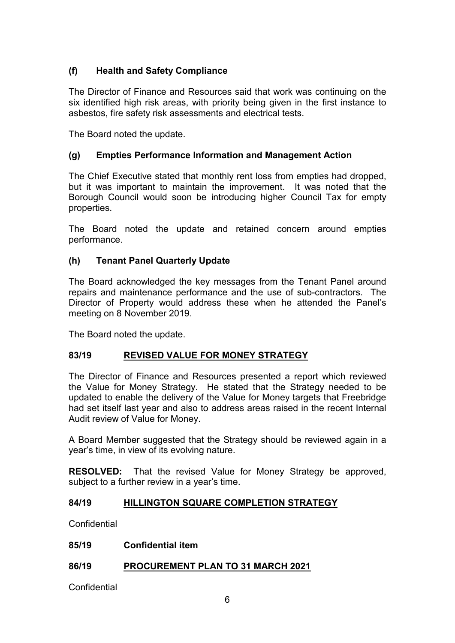# **(f) Health and Safety Compliance**

The Director of Finance and Resources said that work was continuing on the six identified high risk areas, with priority being given in the first instance to asbestos, fire safety risk assessments and electrical tests.

The Board noted the update.

### **(g) Empties Performance Information and Management Action**

The Chief Executive stated that monthly rent loss from empties had dropped, but it was important to maintain the improvement. It was noted that the Borough Council would soon be introducing higher Council Tax for empty properties.

The Board noted the update and retained concern around empties performance.

### **(h) Tenant Panel Quarterly Update**

The Board acknowledged the key messages from the Tenant Panel around repairs and maintenance performance and the use of sub-contractors. The Director of Property would address these when he attended the Panel's meeting on 8 November 2019.

The Board noted the update.

## **83/19 REVISED VALUE FOR MONEY STRATEGY**

The Director of Finance and Resources presented a report which reviewed the Value for Money Strategy. He stated that the Strategy needed to be updated to enable the delivery of the Value for Money targets that Freebridge had set itself last year and also to address areas raised in the recent Internal Audit review of Value for Money.

A Board Member suggested that the Strategy should be reviewed again in a year's time, in view of its evolving nature.

**RESOLVED:** That the revised Value for Money Strategy be approved, subject to a further review in a year's time.

### **84/19 HILLINGTON SQUARE COMPLETION STRATEGY**

**Confidential** 

### **85/19 Confidential item**

## **86/19 PROCUREMENT PLAN TO 31 MARCH 2021**

Confidential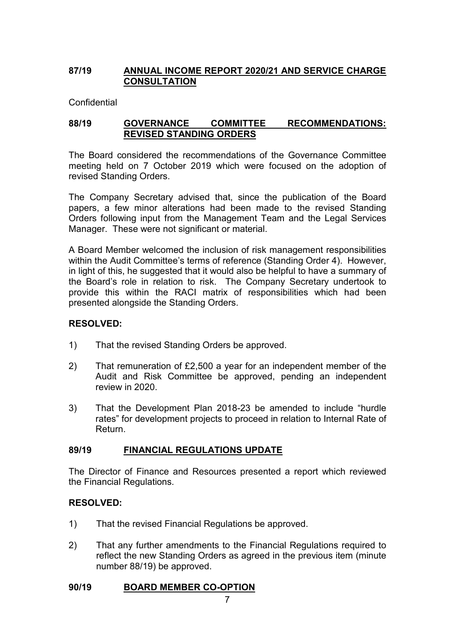## **87/19 ANNUAL INCOME REPORT 2020/21 AND SERVICE CHARGE CONSULTATION**

Confidential

### **88/19 GOVERNANCE COMMITTEE RECOMMENDATIONS: REVISED STANDING ORDERS**

The Board considered the recommendations of the Governance Committee meeting held on 7 October 2019 which were focused on the adoption of revised Standing Orders.

The Company Secretary advised that, since the publication of the Board papers, a few minor alterations had been made to the revised Standing Orders following input from the Management Team and the Legal Services Manager. These were not significant or material.

A Board Member welcomed the inclusion of risk management responsibilities within the Audit Committee's terms of reference (Standing Order 4). However, in light of this, he suggested that it would also be helpful to have a summary of the Board's role in relation to risk. The Company Secretary undertook to provide this within the RACI matrix of responsibilities which had been presented alongside the Standing Orders.

### **RESOLVED:**

- 1) That the revised Standing Orders be approved.
- 2) That remuneration of £2,500 a year for an independent member of the Audit and Risk Committee be approved, pending an independent review in 2020.
- 3) That the Development Plan 2018-23 be amended to include "hurdle rates" for development projects to proceed in relation to Internal Rate of Return.

### **89/19 FINANCIAL REGULATIONS UPDATE**

The Director of Finance and Resources presented a report which reviewed the Financial Regulations.

## **RESOLVED:**

- 1) That the revised Financial Regulations be approved.
- 2) That any further amendments to the Financial Regulations required to reflect the new Standing Orders as agreed in the previous item (minute number 88/19) be approved.

### **90/19 BOARD MEMBER CO-OPTION**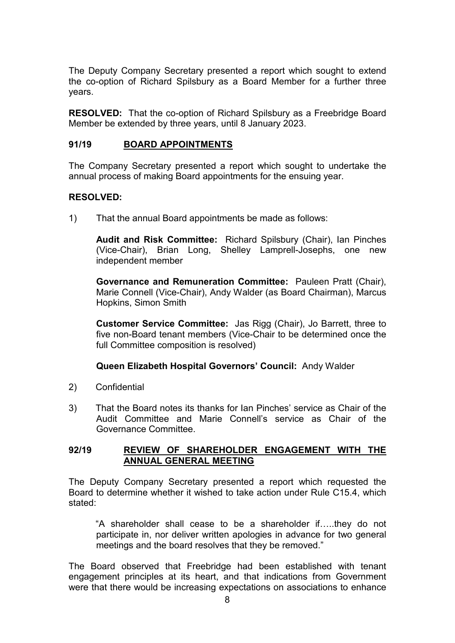The Deputy Company Secretary presented a report which sought to extend the co-option of Richard Spilsbury as a Board Member for a further three years.

**RESOLVED:** That the co-option of Richard Spilsbury as a Freebridge Board Member be extended by three years, until 8 January 2023.

### **91/19 BOARD APPOINTMENTS**

The Company Secretary presented a report which sought to undertake the annual process of making Board appointments for the ensuing year.

### **RESOLVED:**

1) That the annual Board appointments be made as follows:

**Audit and Risk Committee:** Richard Spilsbury (Chair), Ian Pinches (Vice-Chair), Brian Long, Shelley Lamprell-Josephs, one new independent member

**Governance and Remuneration Committee:** Pauleen Pratt (Chair), Marie Connell (Vice-Chair), Andy Walder (as Board Chairman), Marcus Hopkins, Simon Smith

**Customer Service Committee:** Jas Rigg (Chair), Jo Barrett, three to five non-Board tenant members (Vice-Chair to be determined once the full Committee composition is resolved)

### **Queen Elizabeth Hospital Governors' Council:** Andy Walder

- 2) Confidential
- 3) That the Board notes its thanks for Ian Pinches' service as Chair of the Audit Committee and Marie Connell's service as Chair of the Governance Committee.

### **92/19 REVIEW OF SHAREHOLDER ENGAGEMENT WITH THE ANNUAL GENERAL MEETING**

The Deputy Company Secretary presented a report which requested the Board to determine whether it wished to take action under Rule C15.4, which stated:

"A shareholder shall cease to be a shareholder if…..they do not participate in, nor deliver written apologies in advance for two general meetings and the board resolves that they be removed."

The Board observed that Freebridge had been established with tenant engagement principles at its heart, and that indications from Government were that there would be increasing expectations on associations to enhance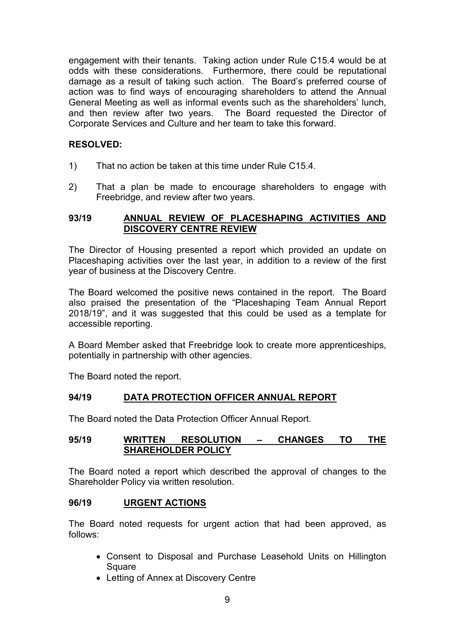engagement with their tenants. Taking action under Rule C15.4 would be at odds with these considerations. Furthermore, there could be reputational damage as a result of taking such action. The Board's preferred course of action was to find ways of encouraging shareholders to attend the Annual General Meeting as well as informal events such as the shareholders' lunch, and then review after two years. The Board requested the Director of Corporate Services and Culture and her team to take this forward.

### **RESOLVED:**

- 1) That no action be taken at this time under Rule C15.4.
- 2) That a plan be made to encourage shareholders to engage with Freebridge, and review after two years.

### **93/19 ANNUAL REVIEW OF PLACESHAPING ACTIVITIES AND DISCOVERY CENTRE REVIEW**

The Director of Housing presented a report which provided an update on Placeshaping activities over the last year, in addition to a review of the first year of business at the Discovery Centre.

The Board welcomed the positive news contained in the report. The Board also praised the presentation of the "Placeshaping Team Annual Report 2018/19", and it was suggested that this could be used as a template for accessible reporting.

A Board Member asked that Freebridge look to create more apprenticeships, potentially in partnership with other agencies.

The Board noted the report.

## **94/19 DATA PROTECTION OFFICER ANNUAL REPORT**

The Board noted the Data Protection Officer Annual Report.

### **95/19 WRITTEN RESOLUTION – CHANGES TO THE SHAREHOLDER POLICY**

The Board noted a report which described the approval of changes to the Shareholder Policy via written resolution.

### **96/19 URGENT ACTIONS**

The Board noted requests for urgent action that had been approved, as follows:

- Consent to Disposal and Purchase Leasehold Units on Hillington **Square**
- Letting of Annex at Discovery Centre